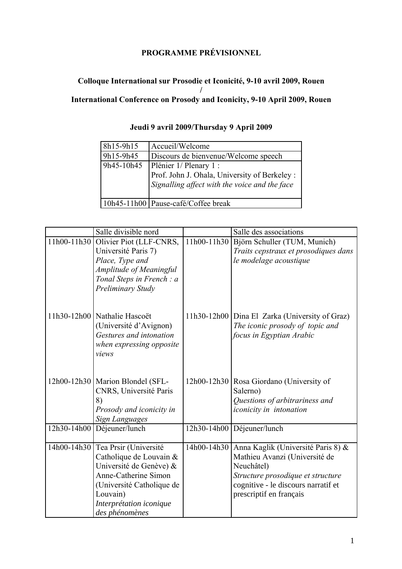## **PROGRAMME PRÉVISIONNEL**

## **Colloque International sur Prosodie et Iconicité, 9-10 avril 2009, Rouen / International Conference on Prosody and Iconicity, 9-10 April 2009, Rouen**

| 8h15-9h15  | Accueil/Welcome                                                                                                          |
|------------|--------------------------------------------------------------------------------------------------------------------------|
| 9h15-9h45  | Discours de bienvenue/Welcome speech                                                                                     |
| 9h45-10h45 | Plénier 1/ Plenary 1 :<br>Prof. John J. Ohala, University of Berkeley :<br>Signalling affect with the voice and the face |
|            | 10h45-11h00 Pause-café/Coffee break                                                                                      |

| Jeudi 9 avril 2009/Thursday 9 April 2009 |
|------------------------------------------|
|------------------------------------------|

|             | Salle divisible nord                                                                                                                                                                                  |             | Salle des associations                                                                                                                                                                   |
|-------------|-------------------------------------------------------------------------------------------------------------------------------------------------------------------------------------------------------|-------------|------------------------------------------------------------------------------------------------------------------------------------------------------------------------------------------|
| 11h00-11h30 | Olivier Piot (LLF-CNRS,<br>Université Paris 7)<br>Place, Type and<br>Amplitude of Meaningful<br>Tonal Steps in French: a<br>Preliminary Study                                                         | 11h00-11h30 | Björn Schuller (TUM, Munich)<br>Traits cepstraux et prosodiques dans<br>le modelage acoustique                                                                                           |
|             | 11h30-12h00 Nathalie Hascoët<br>(Université d'Avignon)<br>Gestures and intonation<br>when expressing opposite<br>views                                                                                |             | 11h30-12h00   Dina El Zarka (University of Graz)<br>The iconic prosody of topic and<br>focus in Egyptian Arabic                                                                          |
|             | 12h00-12h30   Marion Blondel (SFL-<br>CNRS, Université Paris<br>8)<br>Prosody and iconicity in<br><b>Sign Languages</b>                                                                               |             | 12h00-12h30 Rosa Giordano (University of<br>Salerno)<br>Questions of arbitrariness and<br>iconicity in intonation                                                                        |
| 12h30-14h00 | Déjeuner/lunch                                                                                                                                                                                        | 12h30-14h00 | Déjeuner/lunch                                                                                                                                                                           |
|             | 14h00-14h30 Tea Prsir (Université<br>Catholique de Louvain &<br>Université de Genève) &<br>Anne-Catherine Simon<br>(Université Catholique de<br>Louvain)<br>Interprétation iconique<br>des phénomènes | 14h00-14h30 | Anna Kaglik (Université Paris 8) &<br>Mathieu Avanzi (Université de<br>Neuchâtel)<br>Structure prosodique et structure<br>cognitive - le discours narratif et<br>prescriptif en français |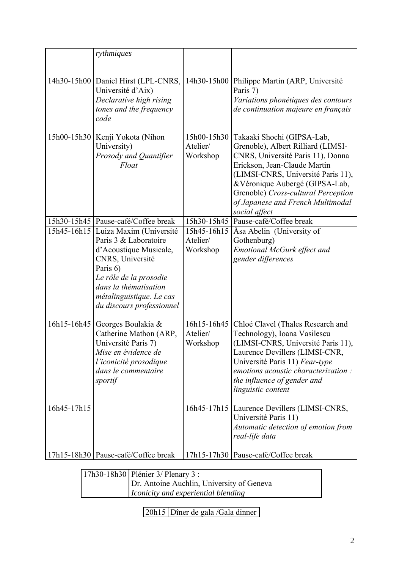|             | rythmiques                                                                                                                                                                                                             |                                     |                                                                                                                                                                                                                                                                                                            |
|-------------|------------------------------------------------------------------------------------------------------------------------------------------------------------------------------------------------------------------------|-------------------------------------|------------------------------------------------------------------------------------------------------------------------------------------------------------------------------------------------------------------------------------------------------------------------------------------------------------|
|             |                                                                                                                                                                                                                        |                                     |                                                                                                                                                                                                                                                                                                            |
|             | 14h30-15h00   Daniel Hirst (LPL-CNRS,<br>Université d'Aix)<br>Declarative high rising<br>tones and the frequency<br>code                                                                                               | 14h30-15h00                         | Philippe Martin (ARP, Université<br>Paris 7)<br>Variations phonétiques des contours<br>de continuation majeure en français                                                                                                                                                                                 |
|             | 15h00-15h30   Kenji Yokota (Nihon<br>University)<br>Prosody and Quantifier<br>Float                                                                                                                                    | 15h00-15h30<br>Atelier/<br>Workshop | Takaaki Shochi (GIPSA-Lab,<br>Grenoble), Albert Rilliard (LIMSI-<br>CNRS, Université Paris 11), Donna<br>Erickson, Jean-Claude Martin<br>(LIMSI-CNRS, Université Paris 11),<br>&Véronique Aubergé (GIPSA-Lab,<br>Grenoble) Cross-cultural Perception<br>of Japanese and French Multimodal<br>social affect |
|             | 15h30-15h45   Pause-café/Coffee break                                                                                                                                                                                  | 15h30-15h45                         | Pause-café/Coffee break                                                                                                                                                                                                                                                                                    |
| 15h45-16h15 | Luiza Maxim (Université<br>Paris 3 & Laboratoire<br>d'Acoustique Musicale,<br>CNRS, Université<br>Paris 6)<br>Le rôle de la prosodie<br>dans la thématisation<br>métalinguistique. Le cas<br>du discours professionnel | 15h45-16h15<br>Atelier/<br>Workshop | Åsa Abelin (University of<br>Gothenburg)<br><b>Emotional McGurk effect and</b><br>gender differences                                                                                                                                                                                                       |
| 16h15-16h45 | Georges Boulakia &<br>Catherine Mathon (ARP,<br>Université Paris 7)<br>Mise en évidence de<br>l'iconicité prosodique<br>dans le commentaire<br>sportif                                                                 | 16h15-16h45<br>Atelier/<br>Workshop | Chloé Clavel (Thales Research and<br>Technology), Ioana Vasilescu<br>(LIMSI-CNRS, Université Paris 11),<br>Laurence Devillers (LIMSI-CNR,<br>Université Paris 11) Fear-type<br>emotions acoustic characterization:<br>the influence of gender and<br>linguistic content                                    |
| 16h45-17h15 |                                                                                                                                                                                                                        |                                     | 16h45-17h15   Laurence Devillers (LIMSI-CNRS,<br>Université Paris 11)<br>Automatic detection of emotion from<br>real-life data                                                                                                                                                                             |
|             | 17h15-18h30 Pause-café/Coffee break                                                                                                                                                                                    |                                     | 17h15-17h30 Pause-café/Coffee break                                                                                                                                                                                                                                                                        |

17h30-18h30 Plénier 3/ Plenary 3 : Dr. Antoine Auchlin, University of Geneva *Iconicity and experiential blending*

20h15 Dîner de gala /Gala dinner